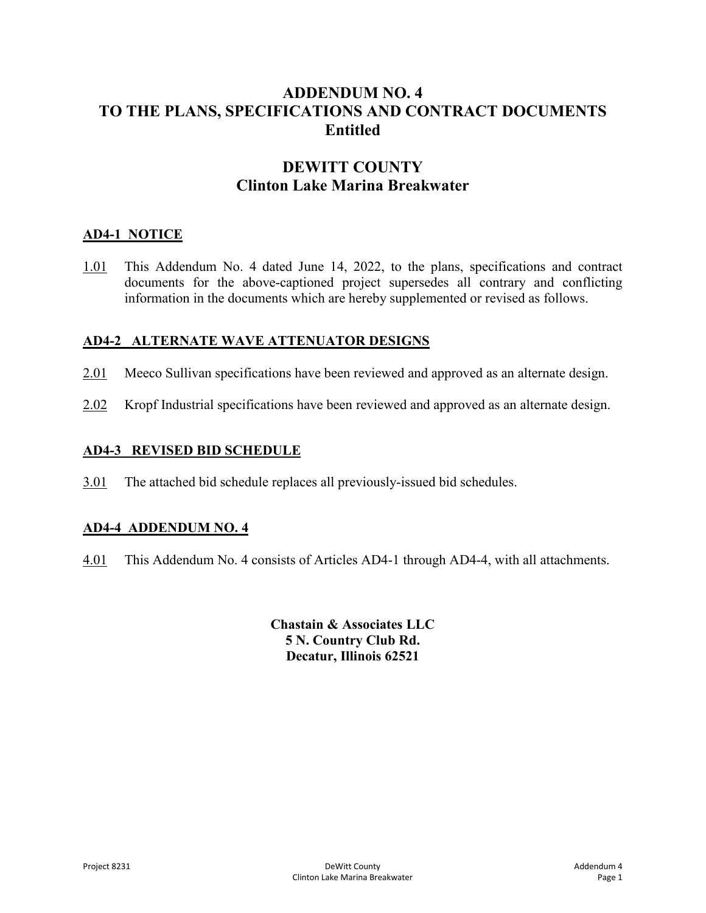# **ADDENDUM NO. 4 TO THE PLANS, SPECIFICATIONS AND CONTRACT DOCUMENTS Entitled**

# **DEWITT COUNTY Clinton Lake Marina Breakwater**

## **AD4-1 NOTICE**

1.01 This Addendum No. 4 dated June 14, 2022, to the plans, specifications and contract documents for the above-captioned project supersedes all contrary and conflicting information in the documents which are hereby supplemented or revised as follows.

## **AD4-2 ALTERNATE WAVE ATTENUATOR DESIGNS**

- 2.01 Meeco Sullivan specifications have been reviewed and approved as an alternate design.
- 2.02 Kropf Industrial specifications have been reviewed and approved as an alternate design.

## **AD4-3 REVISED BID SCHEDULE**

3.01 The attached bid schedule replaces all previously-issued bid schedules.

### **AD4-4 ADDENDUM NO. 4**

4.01 This Addendum No. 4 consists of Articles AD4-1 through AD4-4, with all attachments.

**Chastain & Associates LLC 5 N. Country Club Rd. Decatur, Illinois 62521**